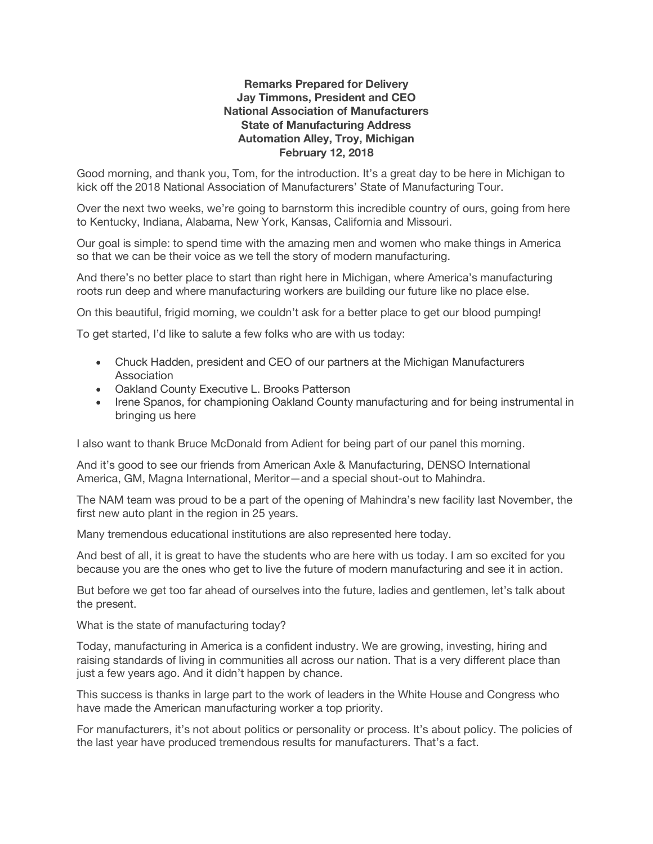## **Remarks Prepared for Delivery Jay Timmons, President and CEO National Association of Manufacturers State of Manufacturing Address Automation Alley, Troy, Michigan February 12, 2018**

Good morning, and thank you, Tom, for the introduction. It's a great day to be here in Michigan to kick off the 2018 National Association of Manufacturers' State of Manufacturing Tour.

Over the next two weeks, we're going to barnstorm this incredible country of ours, going from here to Kentucky, Indiana, Alabama, New York, Kansas, California and Missouri.

Our goal is simple: to spend time with the amazing men and women who make things in America so that we can be their voice as we tell the story of modern manufacturing.

And there's no better place to start than right here in Michigan, where America's manufacturing roots run deep and where manufacturing workers are building our future like no place else.

On this beautiful, frigid morning, we couldn't ask for a better place to get our blood pumping!

To get started, I'd like to salute a few folks who are with us today:

- Chuck Hadden, president and CEO of our partners at the Michigan Manufacturers Association
- Oakland County Executive L. Brooks Patterson
- Irene Spanos, for championing Oakland County manufacturing and for being instrumental in bringing us here

I also want to thank Bruce McDonald from Adient for being part of our panel this morning.

And it's good to see our friends from American Axle & Manufacturing, DENSO International America, GM, Magna International, Meritor—and a special shout-out to Mahindra.

The NAM team was proud to be a part of the opening of Mahindra's new facility last November, the first new auto plant in the region in 25 years.

Many tremendous educational institutions are also represented here today.

And best of all, it is great to have the students who are here with us today. I am so excited for you because you are the ones who get to live the future of modern manufacturing and see it in action.

But before we get too far ahead of ourselves into the future, ladies and gentlemen, let's talk about the present.

What is the state of manufacturing today?

Today, manufacturing in America is a confident industry. We are growing, investing, hiring and raising standards of living in communities all across our nation. That is a very different place than just a few years ago. And it didn't happen by chance.

This success is thanks in large part to the work of leaders in the White House and Congress who have made the American manufacturing worker a top priority.

For manufacturers, it's not about politics or personality or process. It's about policy. The policies of the last year have produced tremendous results for manufacturers. That's a fact.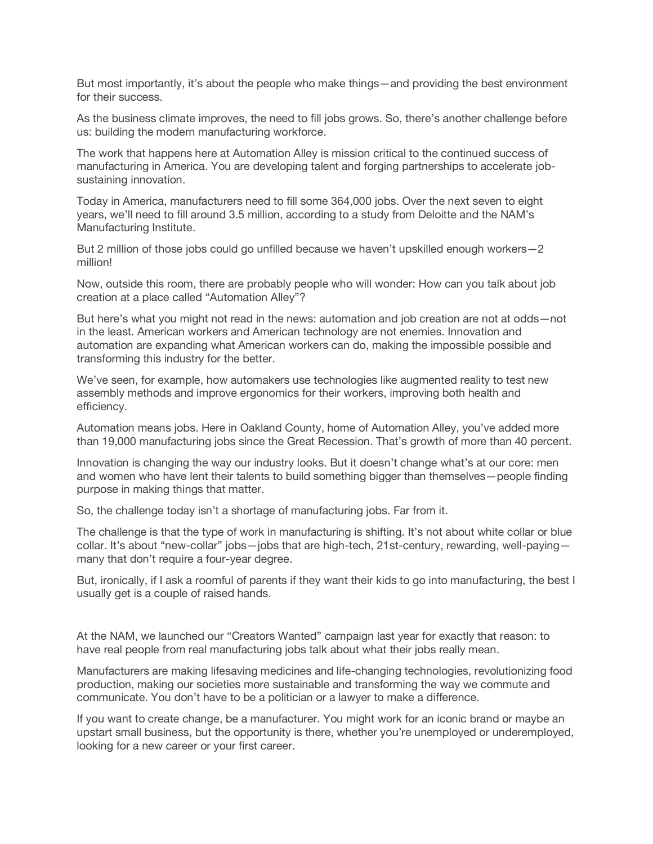But most importantly, it's about the people who make things—and providing the best environment for their success.

As the business climate improves, the need to fill jobs grows. So, there's another challenge before us: building the modern manufacturing workforce.

The work that happens here at Automation Alley is mission critical to the continued success of manufacturing in America. You are developing talent and forging partnerships to accelerate jobsustaining innovation.

Today in America, manufacturers need to fill some 364,000 jobs. Over the next seven to eight years, we'll need to fill around 3.5 million, according to a study from Deloitte and the NAM's Manufacturing Institute.

But 2 million of those jobs could go unfilled because we haven't upskilled enough workers—2 million!

Now, outside this room, there are probably people who will wonder: How can you talk about job creation at a place called "Automation Alley"?

But here's what you might not read in the news: automation and job creation are not at odds—not in the least. American workers and American technology are not enemies. Innovation and automation are expanding what American workers can do, making the impossible possible and transforming this industry for the better.

We've seen, for example, how automakers use technologies like augmented reality to test new assembly methods and improve ergonomics for their workers, improving both health and efficiency.

Automation means jobs. Here in Oakland County, home of Automation Alley, you've added more than 19,000 manufacturing jobs since the Great Recession. That's growth of more than 40 percent.

Innovation is changing the way our industry looks. But it doesn't change what's at our core: men and women who have lent their talents to build something bigger than themselves—people finding purpose in making things that matter.

So, the challenge today isn't a shortage of manufacturing jobs. Far from it.

The challenge is that the type of work in manufacturing is shifting. It's not about white collar or blue collar. It's about "new-collar" jobs—jobs that are high-tech, 21st-century, rewarding, well-paying many that don't require a four-year degree.

But, ironically, if I ask a roomful of parents if they want their kids to go into manufacturing, the best I usually get is a couple of raised hands.

At the NAM, we launched our "Creators Wanted" campaign last year for exactly that reason: to have real people from real manufacturing jobs talk about what their jobs really mean.

Manufacturers are making lifesaving medicines and life-changing technologies, revolutionizing food production, making our societies more sustainable and transforming the way we commute and communicate. You don't have to be a politician or a lawyer to make a difference.

If you want to create change, be a manufacturer. You might work for an iconic brand or maybe an upstart small business, but the opportunity is there, whether you're unemployed or underemployed, looking for a new career or your first career.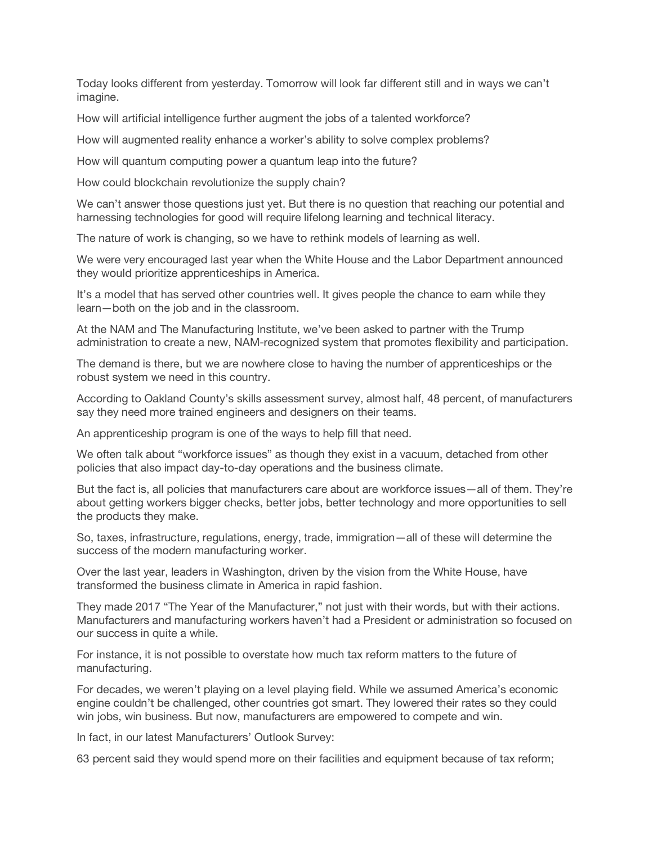Today looks different from yesterday. Tomorrow will look far different still and in ways we can't imagine.

How will artificial intelligence further augment the jobs of a talented workforce?

How will augmented reality enhance a worker's ability to solve complex problems?

How will quantum computing power a quantum leap into the future?

How could blockchain revolutionize the supply chain?

We can't answer those questions just yet. But there is no question that reaching our potential and harnessing technologies for good will require lifelong learning and technical literacy.

The nature of work is changing, so we have to rethink models of learning as well.

We were very encouraged last year when the White House and the Labor Department announced they would prioritize apprenticeships in America.

It's a model that has served other countries well. It gives people the chance to earn while they learn—both on the job and in the classroom.

At the NAM and The Manufacturing Institute, we've been asked to partner with the Trump administration to create a new, NAM-recognized system that promotes flexibility and participation.

The demand is there, but we are nowhere close to having the number of apprenticeships or the robust system we need in this country.

According to Oakland County's skills assessment survey, almost half, 48 percent, of manufacturers say they need more trained engineers and designers on their teams.

An apprenticeship program is one of the ways to help fill that need.

We often talk about "workforce issues" as though they exist in a vacuum, detached from other policies that also impact day-to-day operations and the business climate.

But the fact is, all policies that manufacturers care about are workforce issues—all of them. They're about getting workers bigger checks, better jobs, better technology and more opportunities to sell the products they make.

So, taxes, infrastructure, regulations, energy, trade, immigration—all of these will determine the success of the modern manufacturing worker.

Over the last year, leaders in Washington, driven by the vision from the White House, have transformed the business climate in America in rapid fashion.

They made 2017 "The Year of the Manufacturer," not just with their words, but with their actions. Manufacturers and manufacturing workers haven't had a President or administration so focused on our success in quite a while.

For instance, it is not possible to overstate how much tax reform matters to the future of manufacturing.

For decades, we weren't playing on a level playing field. While we assumed America's economic engine couldn't be challenged, other countries got smart. They lowered their rates so they could win jobs, win business. But now, manufacturers are empowered to compete and win.

In fact, in our latest Manufacturers' Outlook Survey:

63 percent said they would spend more on their facilities and equipment because of tax reform;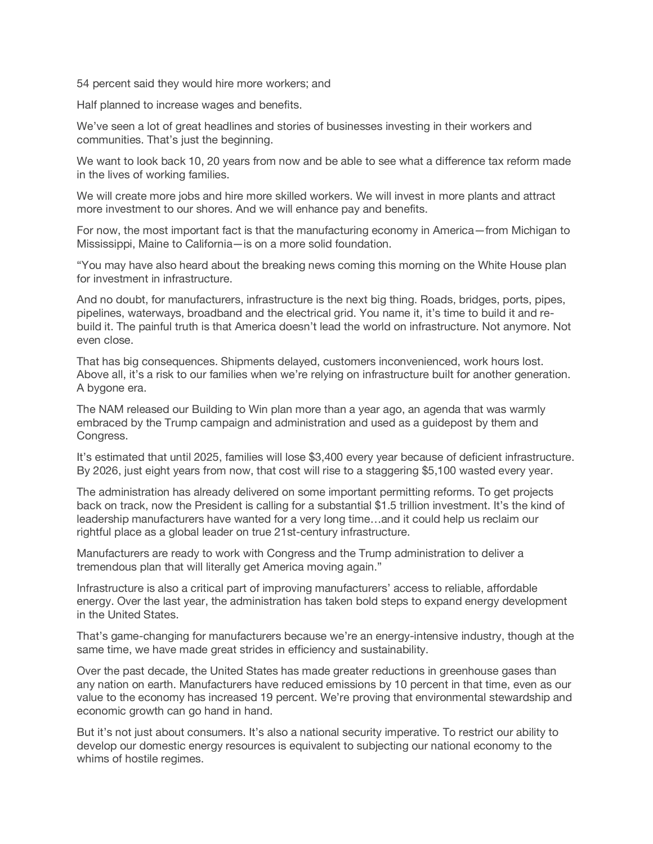54 percent said they would hire more workers; and

Half planned to increase wages and benefits.

We've seen a lot of great headlines and stories of businesses investing in their workers and communities. That's just the beginning.

We want to look back 10, 20 years from now and be able to see what a difference tax reform made in the lives of working families.

We will create more jobs and hire more skilled workers. We will invest in more plants and attract more investment to our shores. And we will enhance pay and benefits.

For now, the most important fact is that the manufacturing economy in America—from Michigan to Mississippi, Maine to California—is on a more solid foundation.

"You may have also heard about the breaking news coming this morning on the White House plan for investment in infrastructure.

And no doubt, for manufacturers, infrastructure is the next big thing. Roads, bridges, ports, pipes, pipelines, waterways, broadband and the electrical grid. You name it, it's time to build it and rebuild it. The painful truth is that America doesn't lead the world on infrastructure. Not anymore. Not even close.

That has big consequences. Shipments delayed, customers inconvenienced, work hours lost. Above all, it's a risk to our families when we're relying on infrastructure built for another generation. A bygone era.

The NAM released our Building to Win plan more than a year ago, an agenda that was warmly embraced by the Trump campaign and administration and used as a guidepost by them and Congress.

It's estimated that until 2025, families will lose \$3,400 every year because of deficient infrastructure. By 2026, just eight years from now, that cost will rise to a staggering \$5,100 wasted every year.

The administration has already delivered on some important permitting reforms. To get projects back on track, now the President is calling for a substantial \$1.5 trillion investment. It's the kind of leadership manufacturers have wanted for a very long time…and it could help us reclaim our rightful place as a global leader on true 21st-century infrastructure.

Manufacturers are ready to work with Congress and the Trump administration to deliver a tremendous plan that will literally get America moving again."

Infrastructure is also a critical part of improving manufacturers' access to reliable, affordable energy. Over the last year, the administration has taken bold steps to expand energy development in the United States.

That's game-changing for manufacturers because we're an energy-intensive industry, though at the same time, we have made great strides in efficiency and sustainability.

Over the past decade, the United States has made greater reductions in greenhouse gases than any nation on earth. Manufacturers have reduced emissions by 10 percent in that time, even as our value to the economy has increased 19 percent. We're proving that environmental stewardship and economic growth can go hand in hand.

But it's not just about consumers. It's also a national security imperative. To restrict our ability to develop our domestic energy resources is equivalent to subjecting our national economy to the whims of hostile regimes.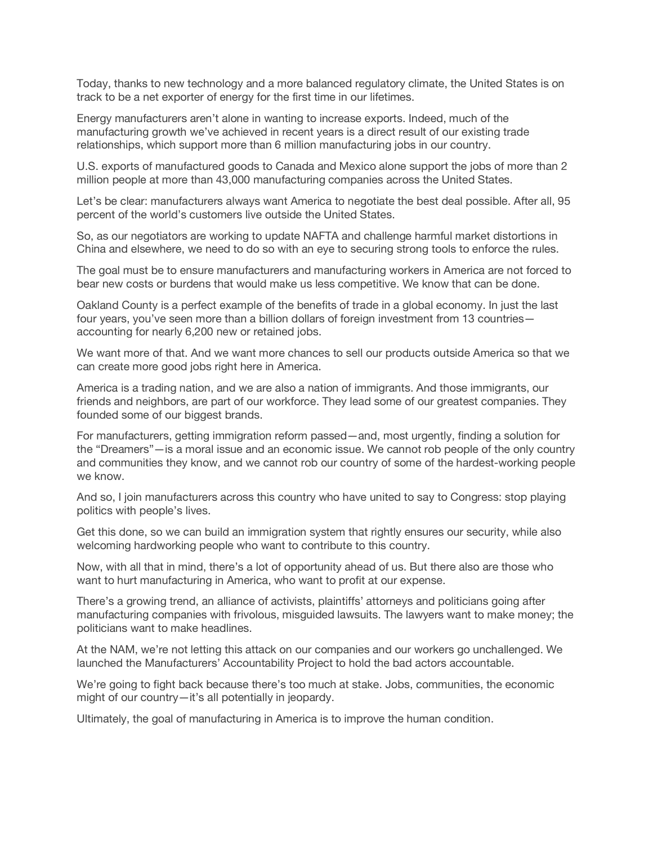Today, thanks to new technology and a more balanced regulatory climate, the United States is on track to be a net exporter of energy for the first time in our lifetimes.

Energy manufacturers aren't alone in wanting to increase exports. Indeed, much of the manufacturing growth we've achieved in recent years is a direct result of our existing trade relationships, which support more than 6 million manufacturing jobs in our country.

U.S. exports of manufactured goods to Canada and Mexico alone support the jobs of more than 2 million people at more than 43,000 manufacturing companies across the United States.

Let's be clear: manufacturers always want America to negotiate the best deal possible. After all, 95 percent of the world's customers live outside the United States.

So, as our negotiators are working to update NAFTA and challenge harmful market distortions in China and elsewhere, we need to do so with an eye to securing strong tools to enforce the rules.

The goal must be to ensure manufacturers and manufacturing workers in America are not forced to bear new costs or burdens that would make us less competitive. We know that can be done.

Oakland County is a perfect example of the benefits of trade in a global economy. In just the last four years, you've seen more than a billion dollars of foreign investment from 13 countries accounting for nearly 6,200 new or retained jobs.

We want more of that. And we want more chances to sell our products outside America so that we can create more good jobs right here in America.

America is a trading nation, and we are also a nation of immigrants. And those immigrants, our friends and neighbors, are part of our workforce. They lead some of our greatest companies. They founded some of our biggest brands.

For manufacturers, getting immigration reform passed—and, most urgently, finding a solution for the "Dreamers"—is a moral issue and an economic issue. We cannot rob people of the only country and communities they know, and we cannot rob our country of some of the hardest-working people we know.

And so, I join manufacturers across this country who have united to say to Congress: stop playing politics with people's lives.

Get this done, so we can build an immigration system that rightly ensures our security, while also welcoming hardworking people who want to contribute to this country.

Now, with all that in mind, there's a lot of opportunity ahead of us. But there also are those who want to hurt manufacturing in America, who want to profit at our expense.

There's a growing trend, an alliance of activists, plaintiffs' attorneys and politicians going after manufacturing companies with frivolous, misguided lawsuits. The lawyers want to make money; the politicians want to make headlines.

At the NAM, we're not letting this attack on our companies and our workers go unchallenged. We launched the Manufacturers' Accountability Project to hold the bad actors accountable.

We're going to fight back because there's too much at stake. Jobs, communities, the economic might of our country—it's all potentially in jeopardy.

Ultimately, the goal of manufacturing in America is to improve the human condition.